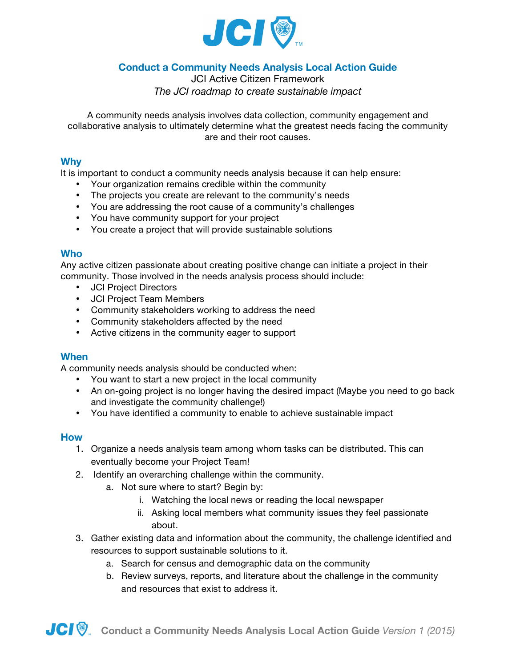

# **Conduct a Community Needs Analysis Local Action Guide**

JCI Active Citizen Framework *The JCI roadmap to create sustainable impact*

A community needs analysis involves data collection, community engagement and collaborative analysis to ultimately determine what the greatest needs facing the community are and their root causes.

#### **Why**

It is important to conduct a community needs analysis because it can help ensure:

- Your organization remains credible within the community
- The projects you create are relevant to the community's needs
- You are addressing the root cause of a community's challenges
- You have community support for your project
- You create a project that will provide sustainable solutions

#### **Who**

Any active citizen passionate about creating positive change can initiate a project in their community. Those involved in the needs analysis process should include:

- JCI Project Directors
- JCI Project Team Members
- Community stakeholders working to address the need
- Community stakeholders affected by the need
- Active citizens in the community eager to support

#### **When**

A community needs analysis should be conducted when:

- You want to start a new project in the local community
- An on-going project is no longer having the desired impact (Maybe you need to go back and investigate the community challenge!)
- You have identified a community to enable to achieve sustainable impact

#### **How**

- 1. Organize a needs analysis team among whom tasks can be distributed. This can eventually become your Project Team!
- 2. Identify an overarching challenge within the community.
	- a. Not sure where to start? Begin by:
		- i. Watching the local news or reading the local newspaper
		- ii. Asking local members what community issues they feel passionate about.
- 3. Gather existing data and information about the community, the challenge identified and resources to support sustainable solutions to it.
	- a. Search for census and demographic data on the community
	- b. Review surveys, reports, and literature about the challenge in the community and resources that exist to address it.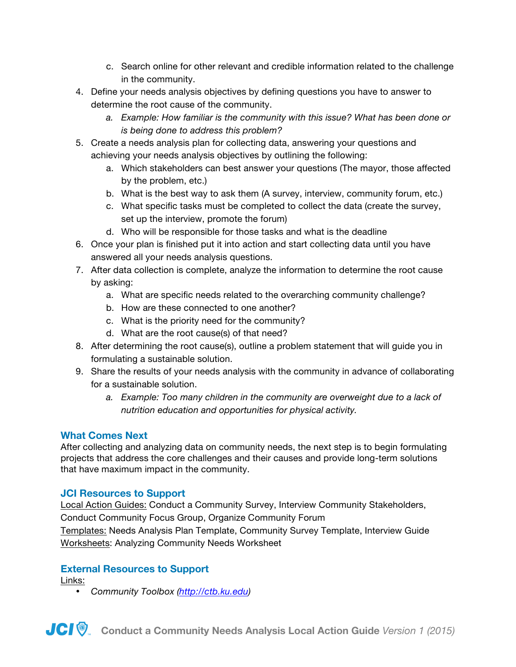- c. Search online for other relevant and credible information related to the challenge in the community.
- 4. Define your needs analysis objectives by defining questions you have to answer to determine the root cause of the community.
	- *a. Example: How familiar is the community with this issue? What has been done or is being done to address this problem?*
- 5. Create a needs analysis plan for collecting data, answering your questions and achieving your needs analysis objectives by outlining the following:
	- a. Which stakeholders can best answer your questions (The mayor, those affected by the problem, etc.)
	- b. What is the best way to ask them (A survey, interview, community forum, etc.)
	- c. What specific tasks must be completed to collect the data (create the survey, set up the interview, promote the forum)
	- d. Who will be responsible for those tasks and what is the deadline
- 6. Once your plan is finished put it into action and start collecting data until you have answered all your needs analysis questions.
- 7. After data collection is complete, analyze the information to determine the root cause by asking:
	- a. What are specific needs related to the overarching community challenge?
	- b. How are these connected to one another?
	- c. What is the priority need for the community?
	- d. What are the root cause(s) of that need?
- 8. After determining the root cause(s), outline a problem statement that will guide you in formulating a sustainable solution.
- 9. Share the results of your needs analysis with the community in advance of collaborating for a sustainable solution.
	- *a. Example: Too many children in the community are overweight due to a lack of nutrition education and opportunities for physical activity.*

# **What Comes Next**

After collecting and analyzing data on community needs, the next step is to begin formulating projects that address the core challenges and their causes and provide long-term solutions that have maximum impact in the community.

# **JCI Resources to Support**

Local Action Guides: Conduct a Community Survey, Interview Community Stakeholders, Conduct Community Focus Group, Organize Community Forum Templates: Needs Analysis Plan Template, Community Survey Template, Interview Guide Worksheets: Analyzing Community Needs Worksheet

# **External Resources to Support**

Links:

• *Community Toolbox (http://ctb.ku.edu)*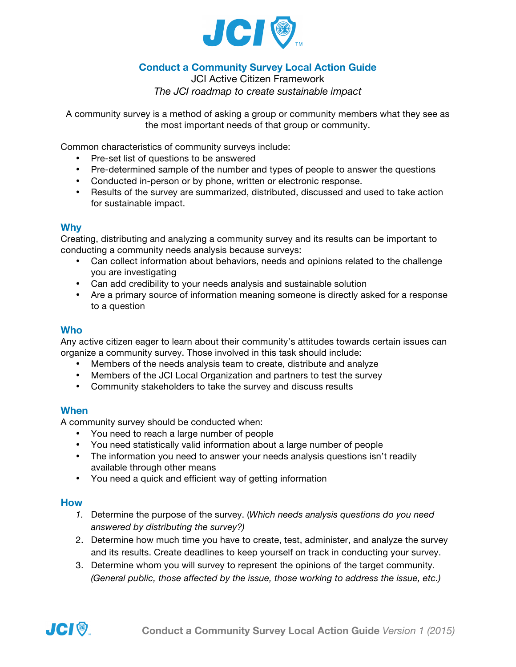

# **Conduct a Community Survey Local Action Guide**

JCI Active Citizen Framework *The JCI roadmap to create sustainable impact*

A community survey is a method of asking a group or community members what they see as the most important needs of that group or community.

Common characteristics of community surveys include:

- Pre-set list of questions to be answered
- Pre-determined sample of the number and types of people to answer the questions
- Conducted in-person or by phone, written or electronic response.
- Results of the survey are summarized, distributed, discussed and used to take action for sustainable impact.

#### **Why**

Creating, distributing and analyzing a community survey and its results can be important to conducting a community needs analysis because surveys:

- Can collect information about behaviors, needs and opinions related to the challenge you are investigating
- Can add credibility to your needs analysis and sustainable solution
- Are a primary source of information meaning someone is directly asked for a response to a question

## **Who**

Any active citizen eager to learn about their community's attitudes towards certain issues can organize a community survey. Those involved in this task should include:

- Members of the needs analysis team to create, distribute and analyze
- Members of the JCI Local Organization and partners to test the survey
- Community stakeholders to take the survey and discuss results

## **When**

A community survey should be conducted when:

- You need to reach a large number of people
- You need statistically valid information about a large number of people
- The information you need to answer your needs analysis questions isn't readily available through other means
- You need a quick and efficient way of getting information

#### **How**

- *1.* Determine the purpose of the survey. (*Which needs analysis questions do you need answered by distributing the survey?)*
- 2. Determine how much time you have to create, test, administer, and analyze the survey and its results. Create deadlines to keep yourself on track in conducting your survey.
- 3. Determine whom you will survey to represent the opinions of the target community. *(General public, those affected by the issue, those working to address the issue, etc.)*

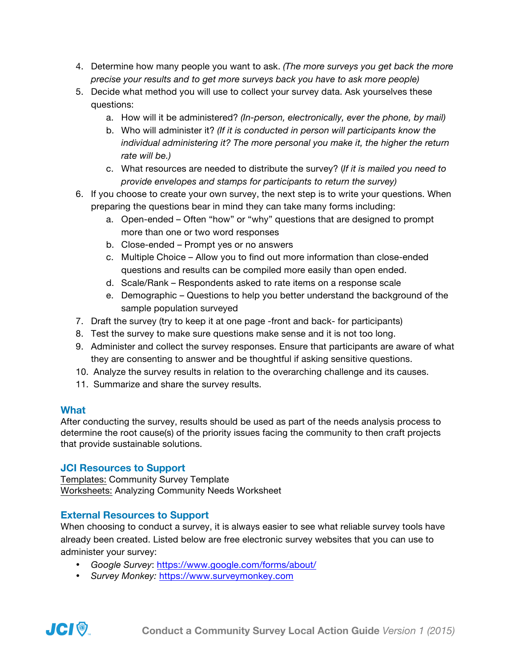- 4. Determine how many people you want to ask. *(The more surveys you get back the more precise your results and to get more surveys back you have to ask more people)*
- 5. Decide what method you will use to collect your survey data. Ask yourselves these questions:
	- a. How will it be administered? *(In-person, electronically, ever the phone, by mail)*
	- b. Who will administer it? *(If it is conducted in person will participants know the individual administering it? The more personal you make it, the higher the return rate will be.)*
	- c. What resources are needed to distribute the survey? (*If it is mailed you need to provide envelopes and stamps for participants to return the survey)*
- 6. If you choose to create your own survey, the next step is to write your questions. When preparing the questions bear in mind they can take many forms including:
	- a. Open-ended Often "how" or "why" questions that are designed to prompt more than one or two word responses
	- b. Close-ended Prompt yes or no answers
	- c. Multiple Choice Allow you to find out more information than close-ended questions and results can be compiled more easily than open ended.
	- d. Scale/Rank Respondents asked to rate items on a response scale
	- e. Demographic Questions to help you better understand the background of the sample population surveyed
- 7. Draft the survey (try to keep it at one page -front and back- for participants)
- 8. Test the survey to make sure questions make sense and it is not too long.
- 9. Administer and collect the survey responses. Ensure that participants are aware of what they are consenting to answer and be thoughtful if asking sensitive questions.
- 10. Analyze the survey results in relation to the overarching challenge and its causes.
- 11. Summarize and share the survey results.

# **What**

After conducting the survey, results should be used as part of the needs analysis process to determine the root cause(s) of the priority issues facing the community to then craft projects that provide sustainable solutions.

## **JCI Resources to Support**

Templates: Community Survey Template Worksheets: Analyzing Community Needs Worksheet

# **External Resources to Support**

When choosing to conduct a survey, it is always easier to see what reliable survey tools have already been created. Listed below are free electronic survey websites that you can use to administer your survey:

- *Google Survey*: https://www.google.com/forms/about/
- *Survey Monkey:* https://www.surveymonkey.com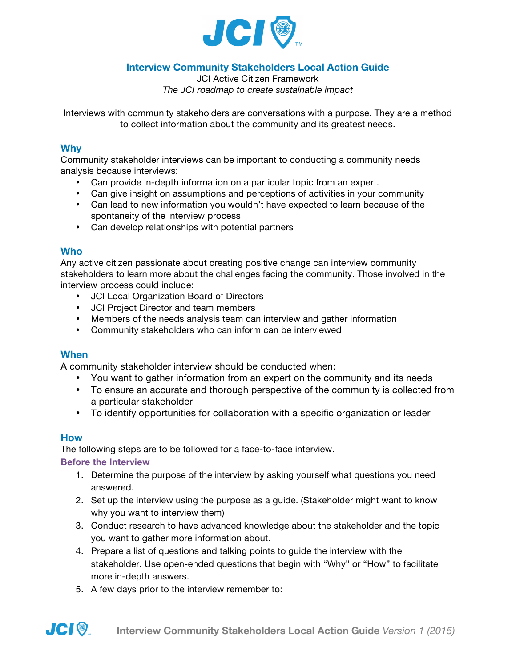

# **Interview Community Stakeholders Local Action Guide**

JCI Active Citizen Framework *The JCI roadmap to create sustainable impact*

Interviews with community stakeholders are conversations with a purpose. They are a method to collect information about the community and its greatest needs.

#### **Why**

Community stakeholder interviews can be important to conducting a community needs analysis because interviews:

- Can provide in-depth information on a particular topic from an expert.
- Can give insight on assumptions and perceptions of activities in your community
- Can lead to new information you wouldn't have expected to learn because of the spontaneity of the interview process
- Can develop relationships with potential partners

#### **Who**

Any active citizen passionate about creating positive change can interview community stakeholders to learn more about the challenges facing the community. Those involved in the interview process could include:

- JCI Local Organization Board of Directors
- JCI Project Director and team members
- Members of the needs analysis team can interview and gather information
- Community stakeholders who can inform can be interviewed

## **When**

A community stakeholder interview should be conducted when:

- You want to gather information from an expert on the community and its needs
- To ensure an accurate and thorough perspective of the community is collected from a particular stakeholder
- To identify opportunities for collaboration with a specific organization or leader

## **How**

**JCI®** 

The following steps are to be followed for a face-to-face interview.

#### **Before the Interview**

- 1. Determine the purpose of the interview by asking yourself what questions you need answered.
- 2. Set up the interview using the purpose as a guide. (Stakeholder might want to know why you want to interview them)
- 3. Conduct research to have advanced knowledge about the stakeholder and the topic you want to gather more information about.
- 4. Prepare a list of questions and talking points to guide the interview with the stakeholder. Use open-ended questions that begin with "Why" or "How" to facilitate more in-depth answers.
- 5. A few days prior to the interview remember to: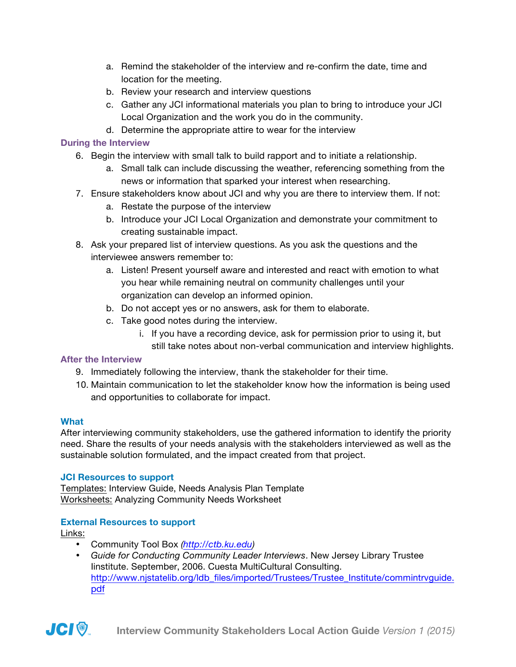- a. Remind the stakeholder of the interview and re-confirm the date, time and location for the meeting.
- b. Review your research and interview questions
- c. Gather any JCI informational materials you plan to bring to introduce your JCI Local Organization and the work you do in the community.
- d. Determine the appropriate attire to wear for the interview

## **During the Interview**

- 6. Begin the interview with small talk to build rapport and to initiate a relationship.
	- a. Small talk can include discussing the weather, referencing something from the news or information that sparked your interest when researching.
- 7. Ensure stakeholders know about JCI and why you are there to interview them. If not:
	- a. Restate the purpose of the interview
	- b. Introduce your JCI Local Organization and demonstrate your commitment to creating sustainable impact.
- 8. Ask your prepared list of interview questions. As you ask the questions and the interviewee answers remember to:
	- a. Listen! Present yourself aware and interested and react with emotion to what you hear while remaining neutral on community challenges until your organization can develop an informed opinion.
	- b. Do not accept yes or no answers, ask for them to elaborate.
	- c. Take good notes during the interview.
		- i. If you have a recording device, ask for permission prior to using it, but
		- still take notes about non-verbal communication and interview highlights.

## **After the Interview**

- 9. Immediately following the interview, thank the stakeholder for their time.
- 10. Maintain communication to let the stakeholder know how the information is being used and opportunities to collaborate for impact.

## **What**

After interviewing community stakeholders, use the gathered information to identify the priority need. Share the results of your needs analysis with the stakeholders interviewed as well as the sustainable solution formulated, and the impact created from that project.

## **JCI Resources to support**

Templates: Interview Guide, Needs Analysis Plan Template Worksheets: Analyzing Community Needs Worksheet

## **External Resources to support**

Links:

- Community Tool Box *(http://ctb.ku.edu)*
- *Guide for Conducting Community Leader Interviews*. New Jersey Library Trustee Iinstitute. September, 2006. Cuesta MultiCultural Consulting. http://www.njstatelib.org/ldb\_files/imported/Trustees/Trustee\_Institute/commintrvguide. pdf

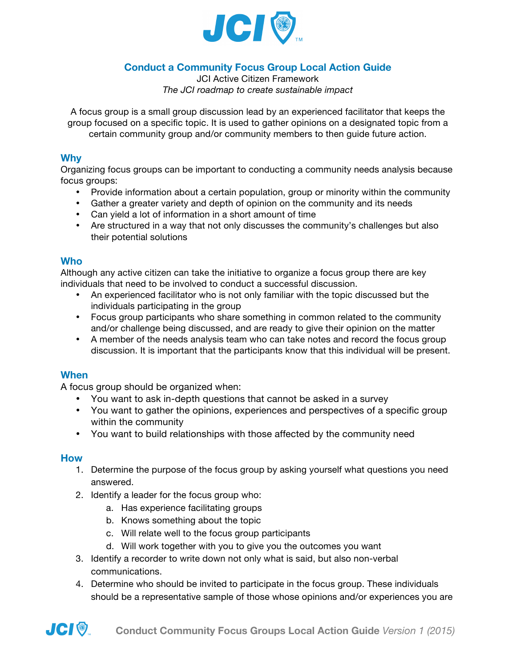

# **Conduct a Community Focus Group Local Action Guide**

JCI Active Citizen Framework *The JCI roadmap to create sustainable impact*

A focus group is a small group discussion lead by an experienced facilitator that keeps the group focused on a specific topic. It is used to gather opinions on a designated topic from a certain community group and/or community members to then guide future action.

#### **Why**

Organizing focus groups can be important to conducting a community needs analysis because focus groups:

- Provide information about a certain population, group or minority within the community
- Gather a greater variety and depth of opinion on the community and its needs
- Can yield a lot of information in a short amount of time
- Are structured in a way that not only discusses the community's challenges but also their potential solutions

#### **Who**

Although any active citizen can take the initiative to organize a focus group there are key individuals that need to be involved to conduct a successful discussion.

- An experienced facilitator who is not only familiar with the topic discussed but the individuals participating in the group
- Focus group participants who share something in common related to the community and/or challenge being discussed, and are ready to give their opinion on the matter
- A member of the needs analysis team who can take notes and record the focus group discussion. It is important that the participants know that this individual will be present.

## **When**

A focus group should be organized when:

- You want to ask in-depth questions that cannot be asked in a survey
- You want to gather the opinions, experiences and perspectives of a specific group within the community
- You want to build relationships with those affected by the community need

## **How**

- 1. Determine the purpose of the focus group by asking yourself what questions you need answered.
- 2. Identify a leader for the focus group who:
	- a. Has experience facilitating groups
	- b. Knows something about the topic
	- c. Will relate well to the focus group participants
	- d. Will work together with you to give you the outcomes you want
- 3. Identify a recorder to write down not only what is said, but also non-verbal communications.
- 4. Determine who should be invited to participate in the focus group. These individuals should be a representative sample of those whose opinions and/or experiences you are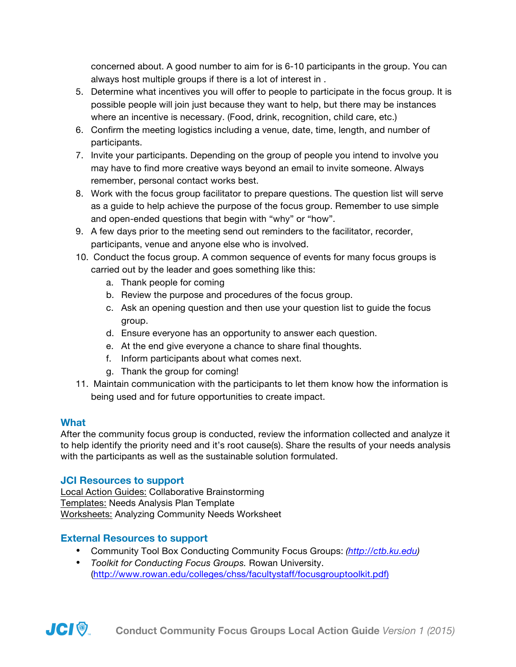concerned about. A good number to aim for is 6-10 participants in the group. You can always host multiple groups if there is a lot of interest in .

- 5. Determine what incentives you will offer to people to participate in the focus group. It is possible people will join just because they want to help, but there may be instances where an incentive is necessary. (Food, drink, recognition, child care, etc.)
- 6. Confirm the meeting logistics including a venue, date, time, length, and number of participants.
- 7. Invite your participants. Depending on the group of people you intend to involve you may have to find more creative ways beyond an email to invite someone. Always remember, personal contact works best.
- 8. Work with the focus group facilitator to prepare questions. The question list will serve as a guide to help achieve the purpose of the focus group. Remember to use simple and open-ended questions that begin with "why" or "how".
- 9. A few days prior to the meeting send out reminders to the facilitator, recorder, participants, venue and anyone else who is involved.
- 10. Conduct the focus group. A common sequence of events for many focus groups is carried out by the leader and goes something like this:
	- a. Thank people for coming
	- b. Review the purpose and procedures of the focus group.
	- c. Ask an opening question and then use your question list to guide the focus group.
	- d. Ensure everyone has an opportunity to answer each question.
	- e. At the end give everyone a chance to share final thoughts.
	- f. Inform participants about what comes next.
	- g. Thank the group for coming!
- 11. Maintain communication with the participants to let them know how the information is being used and for future opportunities to create impact.

# **What**

After the community focus group is conducted, review the information collected and analyze it to help identify the priority need and it's root cause(s). Share the results of your needs analysis with the participants as well as the sustainable solution formulated.

# **JCI Resources to support**

Local Action Guides: Collaborative Brainstorming Templates: Needs Analysis Plan Template Worksheets: Analyzing Community Needs Worksheet

# **External Resources to support**

- Community Tool Box Conducting Community Focus Groups: *(http://ctb.ku.edu)*
- *Toolkit for Conducting Focus Groups.* Rowan University. (http://www.rowan.edu/colleges/chss/facultystaff/focusgrouptoolkit.pdf)

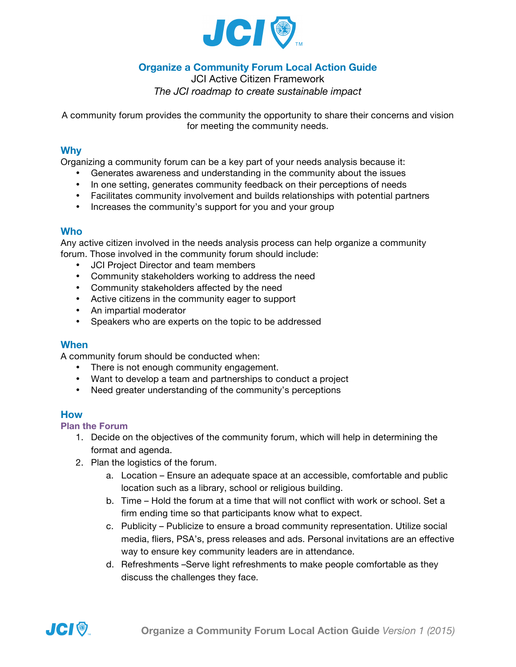

# **Organize a Community Forum Local Action Guide**

JCI Active Citizen Framework *The JCI roadmap to create sustainable impact*

A community forum provides the community the opportunity to share their concerns and vision for meeting the community needs.

#### **Why**

Organizing a community forum can be a key part of your needs analysis because it:

- Generates awareness and understanding in the community about the issues
- In one setting, generates community feedback on their perceptions of needs
- Facilitates community involvement and builds relationships with potential partners
- Increases the community's support for you and your group

#### **Who**

Any active citizen involved in the needs analysis process can help organize a community forum. Those involved in the community forum should include:

- JCI Project Director and team members
- Community stakeholders working to address the need
- Community stakeholders affected by the need
- Active citizens in the community eager to support
- An impartial moderator
- Speakers who are experts on the topic to be addressed

#### **When**

A community forum should be conducted when:

- There is not enough community engagement.
- Want to develop a team and partnerships to conduct a project
- Need greater understanding of the community's perceptions

#### **How**

**Plan the Forum**

- 1. Decide on the objectives of the community forum, which will help in determining the format and agenda.
- 2. Plan the logistics of the forum.
	- a. Location Ensure an adequate space at an accessible, comfortable and public location such as a library, school or religious building.
	- b. Time Hold the forum at a time that will not conflict with work or school. Set a firm ending time so that participants know what to expect.
	- c. Publicity Publicize to ensure a broad community representation. Utilize social media, fliers, PSA's, press releases and ads. Personal invitations are an effective way to ensure key community leaders are in attendance.
	- d. Refreshments –Serve light refreshments to make people comfortable as they discuss the challenges they face.

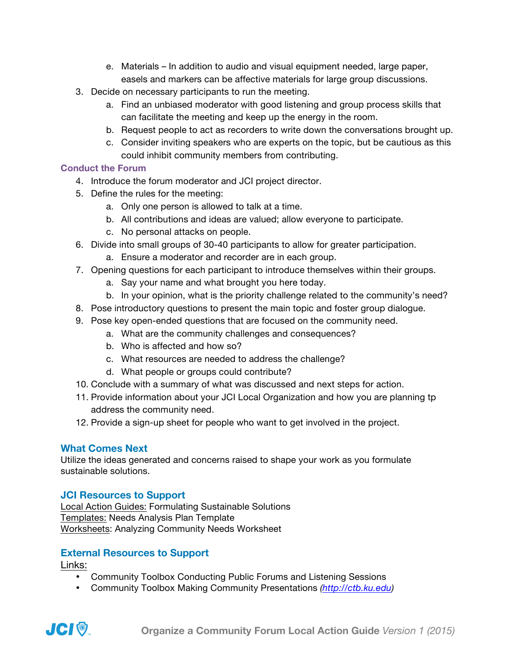- e. Materials In addition to audio and visual equipment needed, large paper, easels and markers can be affective materials for large group discussions.
- 3. Decide on necessary participants to run the meeting.
	- a. Find an unbiased moderator with good listening and group process skills that can facilitate the meeting and keep up the energy in the room.
	- b. Request people to act as recorders to write down the conversations brought up.
	- c. Consider inviting speakers who are experts on the topic, but be cautious as this could inhibit community members from contributing.

## **Conduct the Forum**

- 4. Introduce the forum moderator and JCI project director.
- 5. Define the rules for the meeting:
	- a. Only one person is allowed to talk at a time.
	- b. All contributions and ideas are valued; allow everyone to participate.
	- c. No personal attacks on people.
- 6. Divide into small groups of 30-40 participants to allow for greater participation.
	- a. Ensure a moderator and recorder are in each group.
- 7. Opening questions for each participant to introduce themselves within their groups.
	- a. Say your name and what brought you here today.
	- b. In your opinion, what is the priority challenge related to the community's need?
- 8. Pose introductory questions to present the main topic and foster group dialogue.
- 9. Pose key open-ended questions that are focused on the community need.
	- a. What are the community challenges and consequences?
	- b. Who is affected and how so?
	- c. What resources are needed to address the challenge?
	- d. What people or groups could contribute?
- 10. Conclude with a summary of what was discussed and next steps for action.
- 11. Provide information about your JCI Local Organization and how you are planning tp address the community need.
- 12. Provide a sign-up sheet for people who want to get involved in the project.

# **What Comes Next**

Utilize the ideas generated and concerns raised to shape your work as you formulate sustainable solutions.

# **JCI Resources to Support**

Local Action Guides: Formulating Sustainable Solutions Templates: Needs Analysis Plan Template Worksheets: Analyzing Community Needs Worksheet

# **External Resources to Support**

Links:

- Community Toolbox Conducting Public Forums and Listening Sessions
- Community Toolbox Making Community Presentations *(http://ctb.ku.edu)*

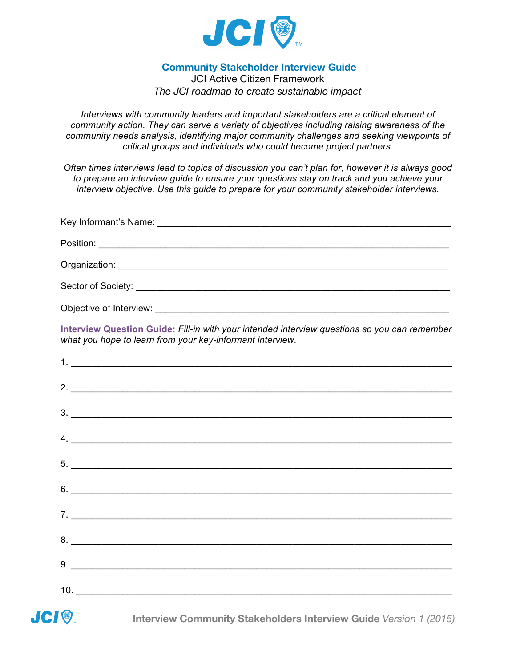

## **Community Stakeholder Interview Guide**

JCI Active Citizen Framework *The JCI roadmap to create sustainable impact*

*Interviews with community leaders and important stakeholders are a critical element of community action. They can serve a variety of objectives including raising awareness of the community needs analysis, identifying major community challenges and seeking viewpoints of critical groups and individuals who could become project partners.*

*Often times interviews lead to topics of discussion you can't plan for, however it is always good to prepare an interview guide to ensure your questions stay on track and you achieve your interview objective. Use this guide to prepare for your community stakeholder interviews.*

| Objective of Interview: |
|-------------------------|

**Interview Question Guide:** *Fill-in with your intended interview questions so you can remember what you hope to learn from your key-informant interview.* 

| $5.$ $\overline{\phantom{a}}$                                                  |
|--------------------------------------------------------------------------------|
|                                                                                |
| $7. \_$                                                                        |
|                                                                                |
|                                                                                |
|                                                                                |
| <b>JCI .</b> Interview Community Stakeholders Interview Guide Version 1 (2015) |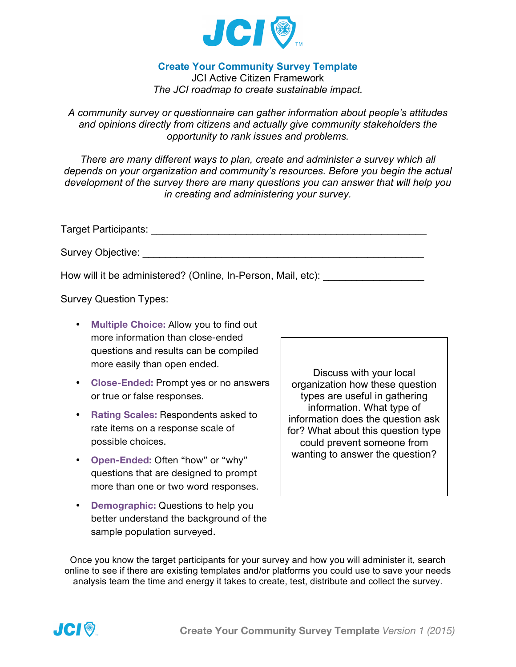

## **Create Your Community Survey Template**

JCI Active Citizen Framework *The JCI roadmap to create sustainable impact.* 

*A community survey or questionnaire can gather information about people's attitudes and opinions directly from citizens and actually give community stakeholders the opportunity to rank issues and problems.* 

*There are many different ways to plan, create and administer a survey which all depends on your organization and community's resources. Before you begin the actual development of the survey there are many questions you can answer that will help you in creating and administering your survey.*

Target Participants: **Example 2018** 

Survey Objective:  $\blacksquare$ 

How will it be administered? (Online, In-Person, Mail, etc):

Survey Question Types:

- **Multiple Choice:** Allow you to find out more information than close-ended questions and results can be compiled more easily than open ended.
- **Close-Ended:** Prompt yes or no answers or true or false responses.
- **Rating Scales:** Respondents asked to rate items on a response scale of possible choices.
- **Open-Ended:** Often "how" or "why" questions that are designed to prompt more than one or two word responses.
- **Demographic:** Questions to help you better understand the background of the sample population surveyed.

Discuss with your local organization how these question types are useful in gathering information. What type of information does the question ask for? What about this question type could prevent someone from wanting to answer the question?

Once you know the target participants for your survey and how you will administer it, search online to see if there are existing templates and/or platforms you could use to save your needs analysis team the time and energy it takes to create, test, distribute and collect the survey.

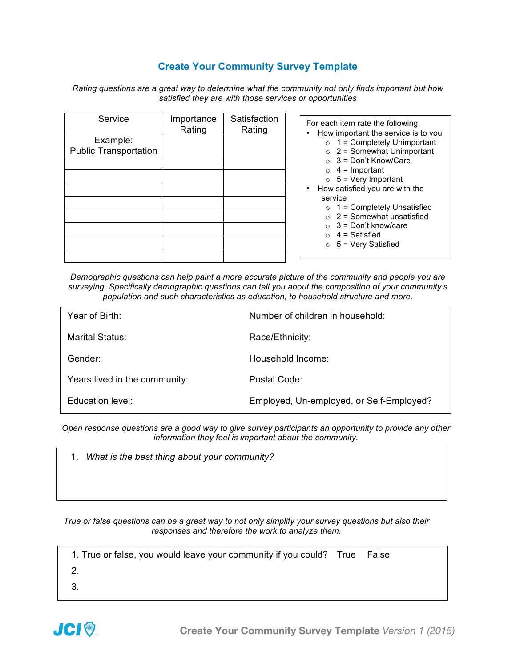## **Create Your Community Survey Template**

*Rating questions are a great way to determine what the community not only finds important but how satisfied they are with those services or opportunities*

| Service                                  | Importance<br>Rating | Satisfaction<br>Rating | For each item rate the following<br>How important the service is to you<br>$\bullet$                                                                                                                                                                                                                                                                                                   |
|------------------------------------------|----------------------|------------------------|----------------------------------------------------------------------------------------------------------------------------------------------------------------------------------------------------------------------------------------------------------------------------------------------------------------------------------------------------------------------------------------|
| Example:<br><b>Public Transportation</b> |                      |                        | $\circ$ 1 = Completely Unimportant<br>$\circ$ 2 = Somewhat Unimportant<br>$\circ$ 3 = Don't Know/Care<br>$\circ$ 4 = Important<br>$\circ$ 5 = Very Important<br>How satisfied you are with the<br>$\bullet$<br>service<br>$\circ$ 1 = Completely Unsatisfied<br>$\circ$ 2 = Somewhat unsatisfied<br>$\circ$ 3 = Don't know/care<br>$\circ$ 4 = Satisfied<br>$\circ$ 5 = Very Satisfied |

*Demographic questions can help paint a more accurate picture of the community and people you are surveying. Specifically demographic questions can tell you about the composition of your community's population and such characteristics as education, to household structure and more.*

| Year of Birth:                | Number of children in household:         |
|-------------------------------|------------------------------------------|
| Marital Status:               | Race/Ethnicity:                          |
| Gender:                       | Household Income:                        |
| Years lived in the community: | Postal Code:                             |
| Education level:              | Employed, Un-employed, or Self-Employed? |

*Open response questions are a good way to give survey participants an opportunity to provide any other information they feel is important about the community.*

|  |  |  |  | 1. What is the best thing about your community? |
|--|--|--|--|-------------------------------------------------|
|--|--|--|--|-------------------------------------------------|

*True or false questions can be a great way to not only simplify your survey questions but also their responses and therefore the work to analyze them.* 

| 1. True or false, you would leave your community if you could? True False |  |
|---------------------------------------------------------------------------|--|
| 2.                                                                        |  |
| 3.                                                                        |  |

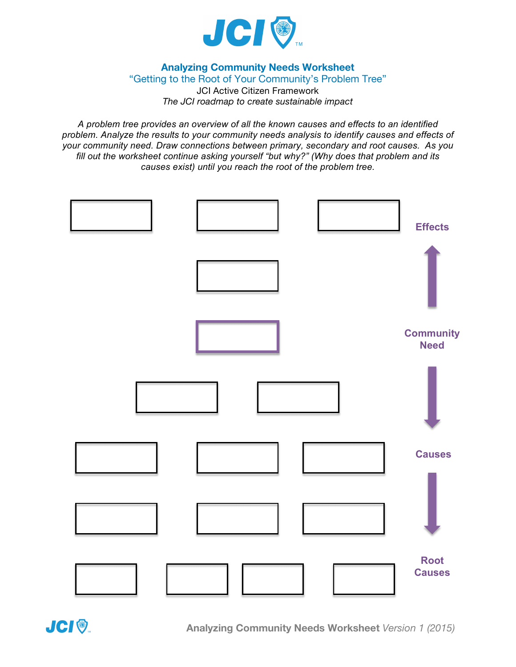

**Analyzing Community Needs Worksheet**

"Getting to the Root of Your Community's Problem Tree" JCI Active Citizen Framework *The JCI roadmap to create sustainable impact*

*A problem tree provides an overview of all the known causes and effects to an identified problem. Analyze the results to your community needs analysis to identify causes and effects of your community need. Draw connections between primary, secondary and root causes. As you fill out the worksheet continue asking yourself "but why?" (Why does that problem and its causes exist) until you reach the root of the problem tree.* 



**Analyzing Community Needs Worksheet** *Version 1 (2015)*